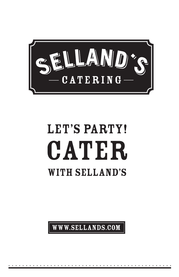

## LET'S PARTY! CATER WITH SELLAND'S

WWW.SELLANDS.COM

. . . . . . . . . . . . . . . . . . . . . . . . . . . . . . . . . . . . . . . . . . . . . . .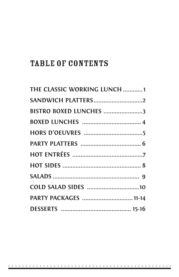### **TABLE OF CONTENTS**

| THE CLASSIC WORKING LUNCH 1 |
|-----------------------------|
| SANDWICH PLATTERS2          |
| BISTRO BOXED LUNCHES 3      |
|                             |
|                             |
|                             |
|                             |
|                             |
|                             |
|                             |
| PARTY PACKAGES  11-14       |
|                             |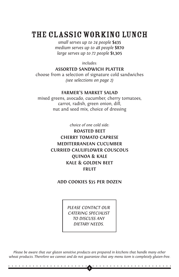### The CLASSIC working lunch

*small serves up to 24 people* **\$435** *medium serves up to 48 people* **\$870** *large serves up to 72 people* **\$1,305**

*includes:*

#### **ASSORTED SANDWICH PLATTER**

choose from a selection of signature cold sandwiches *(see selections on page 2)*

#### **FARMER'S MARKET SALAD**

mixed greens, avocado, cucumber, cherry tomatoes, carrot, radish, green onion, dill, nut and seed mix, choice of dressing

*choice of one cold side:*

**ROASTED BEET CHERRY TOMATO CAPRESE MEDITERRANEAN CUCUMBER CURRIED CAULIFLOWER COUSCOUS QUINOA & KALE KALE & GOLDEN BEET FRUIT**

#### **ADD COOKIES \$35 PER DOZEN**

*PLEASE CONTACT OUR CATERING SPECIALIST TO DISCUSS ANY DIETARY NEEDS.* 

*Please be aware that our gluten sensitive products are prepared in kitchens that handle many other wheat products. Therefore we cannot and do not guarantee that any menu item is completely gluten-free.*

. . . . . . . . . . . . . . . . . . . . . . . . . . . . . . . . . . . . . . . . . . . . . . .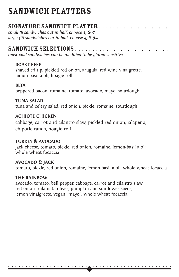### SANDWICH PLATTERS

### SIGNATURE SANDWICH PLATTER . . . . . . . . . . . . .

*small (8 sandwiches cut in half, choose 4)* **\$97** *large (16 sandwiches cut in half, choose 4)* **\$194**

### SANDWICH SELECTIONS . . . . . . . . . . . . . . . . . . . . . . . . . . .

*most cold sandwiches can be modified to be gluten sensitive*

### **ROAST BEEF**

shaved tri tip, pickled red onion, arugula, red wine vinaigrette, lemon-basil aioli, hoagie roll

### **BLTA**

peppered bacon, romaine, tomato, avocado, mayo, sourdough

### **TUNA SALAD**

tuna and celery salad, red onion, pickle, romaine, sourdough

### **ACHIOTE CHICKEN**

cabbage, carrot and cilantro slaw, pickled red onion, jalapeño, chipotle ranch, hoagie roll

### **TURKEY & AVOCADO**

jack cheese, tomato, pickle, red onion, romaine, lemon-basil aioli, whole wheat focaccia

### **AVOCADO & JACK**

tomato, pickle, red onion, romaine, lemon-basil aioli, whole wheat focaccia

### **THE RAINBOW**

avocado, tomato, bell pepper, cabbage, carrot and cilantro slaw, red onion, kalamata olives, pumpkin and sunflower seeds, lemon vinaigrette, vegan "mayo", whole wheat focaccia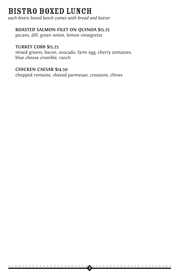### bistro BOXED LUNCH

*each bistro boxed lunch comes with bread and butter* 

### **ROASTED SALMON FILET ON QUINOA \$15.25**

pecans, dill, green onion, lemon vinaigrette

### **TURKEY COBB \$15.25**

mixed greens, bacon, avocado, farm egg, cherry tomatoes, blue cheese crumble, ranch

. . . . . . . . . . . . . . . . . . . . . . . . . . . . . . . . . . . . . . . . . . . . . . . **<sup>3</sup>**

### **CHICKEN CAESAR \$14.50**

chopped romaine, shaved parmesan, croutons, chives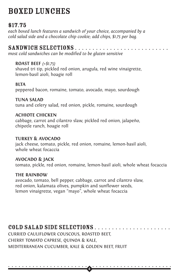### BOXED LUNCHES

### \$17.75

*each boxed lunch features a sandwich of your choice, accompanied by a cold salad side and a chocolate chip cookie; add chips, \$1.75 per bag.*

### SANDWICH SELECTIONS . . . . . . . . . . . . . . . . . . . . . . . . . . .

*most cold sandwiches can be modified to be gluten sensitive*

### **ROAST BEEF** *(+\$1.75)*

shaved tri tip, pickled red onion, arugula, red wine vinaigrette, lemon-basil aioli, hoagie roll

### **BLTA**

peppered bacon, romaine, tomato, avocado, mayo, sourdough

### **TUNA SALAD**

tuna and celery salad, red onion, pickle, romaine, sourdough

### **ACHIOTE CHICKEN**

cabbage, carrot and cilantro slaw, pickled red onion, jalapeño, chipotle ranch, hoagie roll

### **TURKEY & AVOCADO**

jack cheese, tomato, pickle, red onion, romaine, lemon-basil aioli, whole wheat focaccia

### **AVOCADO & JACK**

tomato, pickle, red onion, romaine, lemon-basil aioli, whole wheat focaccia

. . . . . . . . . . . . . . . . . . . . . . . . . . . . . . . . . . . . . . . . . . . . . . . **<sup>4</sup>**

### **THE RAINBOW**

avocado, tomato, bell pepper, cabbage, carrot and cilantro slaw, red onion, kalamata olives, pumpkin and sunflower seeds, lemon vinaigrette, vegan "mayo", whole wheat focaccia

### COLD SALAD SIDE SELECTIONS . . . . . . . . . . . . . . . . . . . . . .

CURRIED CAULIFLOWER COUSCOUS, ROASTED BEET, CHERRY TOMATO CAPRESE, QUINOA & KALE, MEDITERRANEAN CUCUMBER, KALE & GOLDEN BEET, FRUIT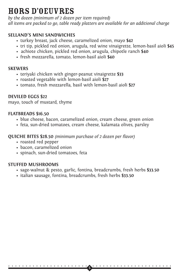### HORS D'OEUVRES

*by the dozen (minimum of 2 dozen per item required) all items are packed to go, table ready platters are available for an additional charge*

### **SELLAND'S MINI SANDWICHES**

- turkey breast, jack cheese, caramelized onion, mayo **\$42**
- tri tip, pickled red onion, arugula, red wine vinaigrette, lemon-basil aioli **\$45**
- achiote chicken, pickled red onion, arugula, chipotle ranch **\$40**
- fresh mozzarella, tomato, lemon-basil aioli **\$40**

#### **SKEWERS**

- teriyaki chicken with ginger-peanut vinaigrette **\$33**
- roasted vegetable with lemon-basil aioli **\$27**
- tomato, fresh mozzarella, basil with lemon-basil aioli **\$27**

### **DEVILED EGGS \$22**

mayo, touch of mustard, thyme

### **FLATBREADS \$16.50**

- blue cheese, bacon, caramelized onion, cream cheese, green onion
- feta, sun-dried tomatoes, cream cheese, kalamata olives, parsley

### **QUICHE BITES \$28.50** *(minimum purchase of 2 dozen per flavor)*

- roasted red pepper
- bacon, caramelized onion
- spinach, sun-dried tomatoes, feta

### **STUFFED MUSHROOMS**

• sage-walnut & pesto, garlic, fontina, breadcrumbs, fresh herbs **\$33.50**

. . . . . . . . . . . . . . . . . . . . . . . . . . . . . . . . . . . . . . . . . . . . . . .

**5**

• italian sausage, fontina, breadcrumbs, fresh herbs **\$33.50**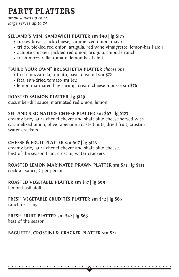### PARTY PLATTERS

*small serves up to 12 large serves up to 24*

### **SELLAND'S MINI SANDWICH PLATTER sm \$90 | lg \$175**

- turkey breast, jack cheese, caramelized onion, mayo
- tri tip, pickled red onion, arugula, red wine vinaigrette, lemon-basil aioli
- achiote chicken, pickled red onion, arugula, chipotle ranch
- fresh mozzarella, tomato, lemon-basil aioli

### **"BUILD YOUR OWN" BRUSCHETTA PLATTER** *choose one*

- fresh mozzarella, tomato, basil, olive oil **sm \$72**
- feta, sun-dried tomato **sm \$72**
- lemon marinated bay shrimp, cream cheese mousse **sm \$76**

### **ROASTED SALMON PLATTER lg \$129**

cucumber-dill sauce, marinated red onion, lemon

### **SELLAND'S SIGNATURE CHEESE PLATTER sm \$67 | lg \$123**

creamy brie, laura chenel chevre and shaft blue cheese served with caramelized onion, olive tapenade, roasted nuts, dried fruit, crostini, water crackers

### **CHEESE & FRUIT PLATTER sm \$67 | lg \$123**

creamy brie, laura chenel chevre and shaft blue cheese, best of the season fruit, crostini, water crackers

### **ROASTED LEMON MARINATED PRAWN PLATTER sm \$73 | lg \$133**

cocktail sauce, 2 per person

### **ROASTED VEGETABLE PLATTER sm \$57 | lg \$99**

lemon-basil aioli

### **FRESH VEGETABLE CRUDITÉS PLATTER sm \$42 | lg \$65**

ranch dressing

### **FRESH FRUIT PLATTER sm \$42 | lg \$65**

best of the season

### **BAGUETTE, CROSTINI & CRACKER PLATTER sm \$21**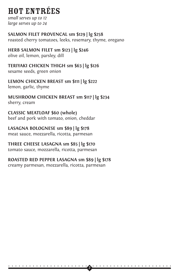### HOT ENTRéES

*small serves up to 12 large serves up to 24*

### **SALMON FILET PROVENCAL sm \$129 | lg \$258**

roasted cherry tomatoes, leeks, rosemary, thyme, oregano

### **HERB SALMON FILET sm \$123 | lg \$246**

olive oil, lemon, parsley, dill

### **TERIYAKI CHICKEN THIGH sm \$63 | lg \$126**

sesame seeds, green onion

### **LEMON CHICKEN BREAST sm \$111 | lg \$222**

lemon, garlic, thyme

#### **MUSHROOM CHICKEN BREAST sm \$117 | lg \$234**  sherry, cream

### **CLASSIC MEATLOAF \$60 (whole)**

beef and pork with tomato, onion, cheddar

### **LASAGNA BOLOGNESE sm \$89 | lg \$178**

meat sauce, mozzarella, ricotta, parmesan

### **THREE CHEESE LASAGNA sm \$85 | lg \$170**

tomato sauce, mozzarella, ricotta, parmesan

### **ROASTED RED PEPPER LASAGNA sm \$89 | lg \$178**

creamy parmesan, mozzarella, ricotta, parmesan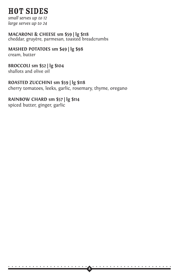### HOT SIDES

*small serves up to 12 large serves up to 24*

#### **MACARONI & CHEESE sm \$59 | lg \$118**  cheddar, gruyère, parmesan, toasted breadcrumbs

### **MASHED POTATOES sm \$49 | lg \$98**

cream, butter

### **BROCCOLI sm \$52 | lg \$104**

shallots and olive oil

### **ROASTED ZUCCHINI sm \$59 | lg \$118**

cherry tomatoes, leeks, garlic, rosemary, thyme, oregano

. . . . . . . . . . . . . . . . . . . . . . . . . . . . . . . . . . . . . . . . . . . . . . . **<sup>8</sup>**

### **RAINBOW CHARD sm \$57 | lg \$114**

spiced butter, ginger, garlic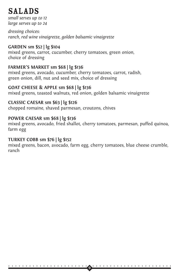### SALADS

*small serves up to 12 large serves up to 24*

*dressing choices: ranch, red wine vinaigrette, golden balsamic vinaigrette*

### **GARDEN sm \$52 | lg \$104**

mixed greens, carrot, cucumber, cherry tomatoes, green onion, choice of dressing

### **FARMER'S MARKET sm \$68 | lg \$136**

mixed greens, avocado, cucumber, cherry tomatoes, carrot, radish, green onion, dill, nut and seed mix, choice of dressing

#### **GOAT CHEESE & APPLE sm \$68 | lg \$136**  mixed greens, toasted walnuts, red onion, golden balsamic vinaigrette

### **CLASSIC CAESAR sm \$63 | lg \$126**

chopped romaine, shaved parmesan, croutons, chives

### **POWER CAESAR sm \$68 | lg \$136**

mixed greens, avocado, fried shallot, cherry tomatoes, parmesan, puffed quinoa, farm egg

### **TURKEY COBB sm \$76 | lg \$152**

mixed greens, bacon, avocado, farm egg, cherry tomatoes, blue cheese crumble, ranch

. . . . . . . . . . . . . . . . . . . . . . . . . . . . . . . . . . . . . . . . . . . . . . . **<sup>9</sup>**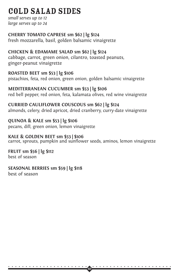### COLD SALAD SIDES

*small serves up to 12 large serves up to 24*

### **CHERRY TOMATO CAPRESE sm \$62 | lg \$124**

fresh mozzarella, basil, golden balsamic vinaigrette

### **CHICKEN & EDAMAME SALAD sm \$62 | lg \$124** cabbage, carrot, green onion, cilantro, toasted peanuts, ginger-peanut vinaigrette

### **ROASTED BEET sm \$53 | lg \$106**

pistachios, feta, red onion, green onion, golden balsamic vinaigrette

### **MEDITERRANEAN CUCUMBER sm \$53 | lg \$106**

red bell pepper, red onion, feta, kalamata olives, red wine vinaigrette

### **CURRIED CAULIFLOWER COUSCOUS sm \$62 | lg \$124**

almonds, celery, dried apricot, dried cranberry, curry-date vinaigrette

### **QUINOA & KALE sm \$53 | lg \$106**

pecans, dill, green onion, lemon vinaigrette

### **KALE & GOLDEN BEET sm \$53 | \$106**

carrot, sprouts, pumpkin and sunflower seeds, aminos, lemon vinaigrette

#### **FRUIT sm \$56 | lg \$112**  best of season

### **SEASONAL BERRIES sm \$59 | lg \$118**

best of season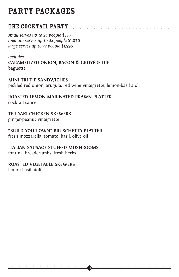### THE COCKTAIL PARTY . . . . . . . . . . . . . . . . .

*small serves up to 24 people* **\$535** *medium serves up to 48 people* **\$1,070** *large serves up to 72 people* **\$1,595** 

#### *includes:*

**CARAMELIZED ONION, BACON & GRUYÈRE DIP** baguette

#### **MINI TRI TIP SANDWICHES**

pickled red onion, arugula, red wine vinaigrette, lemon-basil aioli

. . . . . . . . . . . . . . . . . . . . . . . . . . . . . . . . . . . . . . . . . . . . . . . **<sup>11</sup>**

#### **ROASTED LEMON MARINATED PRAWN PLATTER**  cocktail sauce

### **TERIYAKI CHICKEN SKEWERS**

ginger-peanut vinaigrette

### **"BUILD YOUR OWN" BRUSCHETTA PLATTER**

fresh mozzarella, tomato, basil, olive oil

### **ITALIAN SAUSAGE STUFFED MUSHROOMS**

fontina, breadcrumbs, fresh herbs

#### **ROASTED VEGETABLE SKEWERS**

lemon-basil aioli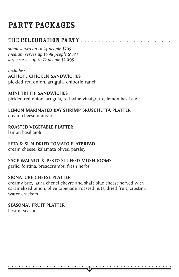### THE CELEBRATION PARTY . . . . . . . . . . . . . . . . . . . . . . . . . .

*small serves up to 24 people* **\$705** *medium serves up to 48 people* **\$1,415** *large serves up to 72 people* **\$2,095**

*includes:*

**ACHIOTE CHICKEN SANDWICHES**

pickled red onion, arugula, chipotle ranch

**MINI TRI TIP SANDWICHES** pickled red onion, arugula, red wine vinaigrette, lemon-basil aioli

**LEMON MARINATED BAY SHRIMP BRUSCHETTA PLATTER** cream cheese mousse

**ROASTED VEGETABLE PLATTER**

lemon-basil aioli

### **FETA & SUN-DRIED TOMATO FLATBREAD**

cream cheese, kalamata olives, parsley

### **SAGE-WALNUT & PESTO STUFFED MUSHROOMS**

garlic, fontina, breadcrumbs, fresh herbs

### **SIGNATURE CHEESE PLATTER**

creamy brie, laura chenel chevre and shaft blue cheese served with caramelized onion, olive tapenade, roasted nuts, dried fruit, crostini, water crackers

. . . . . . . . . . . . . . . . . . . . . . . . . . . . . . . . . . . . . . . . . . . . . . . **<sup>12</sup>**

**SEASONAL FRUIT PLATTER** best of season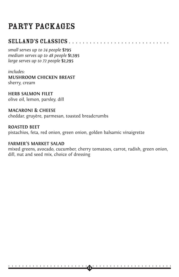### SELLAND'S CLASSICS . . . . . . . . .

*small serves up to 24 people* **\$795** *medium serves up to 48 people* **\$1,595** *large serves up to 72 people* **\$2,295**

#### *includes:* **MUSHROOM CHICKEN BREAST**  sherry, cream

**HERB SALMON FILET**  olive oil, lemon, parsley, dill

**MACARONI & CHEESE**  cheddar, gruyère, parmesan, toasted breadcrumbs

### **ROASTED BEET**

pistachios, feta, red onion, green onion, golden balsamic vinaigrette

#### **FARMER'S MARKET SALAD**

mixed greens, avocado, cucumber, cherry tomatoes, carrot, radish, green onion, dill, nut and seed mix, choice of dressing

. . . . . . . . . . . . . . . . . . . . . . . . . . . . . . . . . . . . . . . . . . . . . . .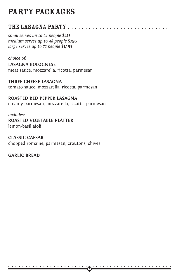### THE LASAGNA PARTY . . . . . . . . . .

*small serves up to 24 people* **\$415** *medium serves up to 48 people* **\$795** *large serves up to 72 people* **\$1,195**

#### *choice of:*

**LASAGNA BOLOGNESE**  meat sauce, mozzarella, ricotta, parmesan

### **THREE-CHEESE LASAGNA**

tomato sauce, mozzarella, ricotta, parmesan

### **ROASTED RED PEPPER LASAGNA**

creamy parmesan, mozzarella, ricotta, parmesan

#### *includes:*

**ROASTED VEGETABLE PLATTER**

lemon-basil aioli

### **CLASSIC CAESAR**  chopped romaine, parmesan, croutons, chives

### **GARLIC BREAD**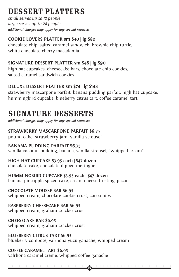### DESSERT PLATTERS

*small serves up to 12 people large serves up to 24 people additional charges may apply for any special requests*

### **COOKIE LOVERS PLATTER sm \$40 | lg \$80**

chocolate chip, salted caramel sandwich, brownie chip turtle, white chocolate cherry macadamia

### **SIGNATURE DESSERT PLATTER sm \$48 | lg \$90**

high hat cupcakes, cheesecake bars, chocolate chip cookies, salted caramel sandwich cookies

### **DELUXE DESSERT PLATTER sm \$74 | lg \$148**

strawberry mascarpone parfait, banana pudding parfait, high hat cupcake, hummingbird cupcake, blueberry citrus tart, coffee caramel tart

### signature desserts

*additional charges may apply for any special requests*

### **STRAWBERRY MASCARPONE PARFAIT \$6.75**

pound cake, strawberry jam, vanilla streusel

### **BANANA PUDDING PARFAIT \$6.75**

vanilla coconut pudding, banana, vanilla streusel, "whipped cream"

### **HIGH HAT CUPCAKE \$3.95 each | \$47 dozen**

chocolate cake, chocolate dipped meringue

### **HUMMINGBIRD CUPCAKE \$3.95 each | \$47 dozen**

banana-pineapple spiced cake, cream cheese frosting, pecans

### **CHOCOLATE MOUSSE BAR \$6.95**

whipped cream, chocolate cookie crust, cocoa nibs

### **RASPBERRY CHEESECAKE BAR \$6.95**

whipped cream, graham cracker crust

### **CHEESECAKE BAR \$6.95**

whipped cream, graham cracker crust

### **BLUEBERRY CITRUS TART \$6.95**

blueberry compote, valrhona yuzu ganache, whipped cream

### **COFFEE CARAMEL TART \$6.95**

. . . . . . . . . . . . . . . . . . . . . . . . . . . . . . . . . . . . . . . . . . . . . . . **<sup>15</sup>**

valrhona caramel creme, whipped coffee ganache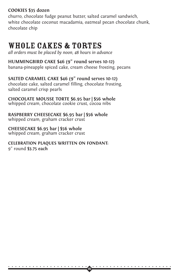### **COOKIES \$35 dozen**

churro, chocolate fudge peanut butter, salted caramel sandwich, white chocolate coconut macadamia, oatmeal pecan chocolate chunk, chocolate chip

### WHOLE CAKES & TORTES

*all orders must be placed by noon, 48 hours in advance*

### **HUMMINGBIRD CAKE \$46 (9" round serves 10-12)**

banana-pineapple spiced cake, cream cheese frosting, pecans

### **SALTED CARAMEL CAKE \$46 (9" round serves 10-12)**

chocolate cake, salted caramel filling, chocolate frosting, salted caramel crisp pearls

#### **CHOCOLATE MOUSSE TORTE \$6.95 bar | \$56 whole** whipped cream, chocolate cookie crust, cocoa nibs

**RASPBERRY CHEESECAKE \$6.95 bar | \$56 whole** whipped cream, graham cracker crust

### **CHEESECAKE \$6.95 bar | \$56 whole**

whipped cream, graham cracker crust

### **CELEBRATION PLAQUES WRITTEN ON FONDANT:**

. . . . . . . . . . . . . . . . . . . . . . . . . . . . . . . . . . . . . . . . . . . . . . . **<sup>16</sup>**

9" round **\$3.75 each**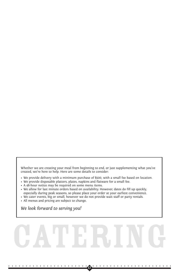Whether we are creating your meal from beginning to end, or just supplementing what you've created, we're here to help. Here are some details to consider:

- We provide delivery with a minimum purchase of \$500, with a small fee based on location.
- We provide disposable platters, plates, napkins and flatware for a small fee.
- A 48-hour notice may be required on some menu items.
- We allow for last minute orders based on availability. However, dates do fill up quickly, especially during peak seasons, so please place your order at your earliest convenience.
- We cater events, big or small, however we do not provide wait staff or party rentals.
- All menus and pricing are subject to change.

*We look forward to serving you!*

# CATERING

. . . . . . . . . . . . . . . . . . . . . . . . . . . . . . . . . . . . . . . . . . . . . . .